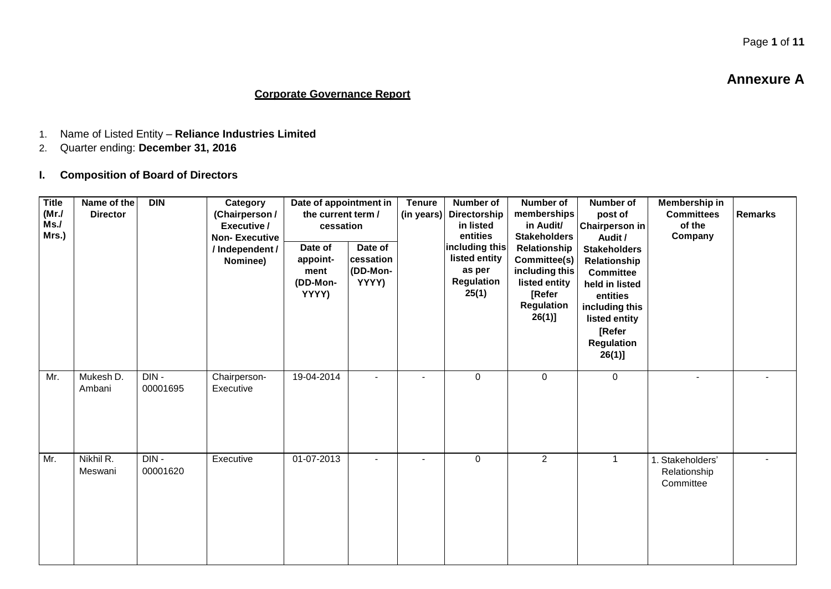### **Corporate Governance Report**

- 1. Name of Listed Entity **Reliance Industries Limited**
- 2. Quarter ending: **December 31, 2016**
- **I. Composition of Board of Directors**

| <b>Title</b><br>(MrJ)<br>Ms.<br>Mrs.) | Name of the<br><b>Director</b> | <b>DIN</b>       | Category<br>(Chairperson /<br>Executive /<br><b>Non-Executive</b><br>/ Independent /<br>Nominee) | Date of appointment in<br>the current term /<br>cessation<br>Date of<br>appoint-<br>ment<br>(DD-Mon-<br>YYYY) | Date of<br>cessation<br>(DD-Mon-<br>YYYY) | <b>Tenure</b><br>(in years) | <b>Number of</b><br>Directorship<br>in listed<br>entities<br>including this<br>listed entity<br>as per<br>Regulation<br>25(1) | <b>Number of</b><br>memberships<br>in Audit/<br><b>Stakeholders</b><br>Relationship<br>Committee(s)<br>including this<br>listed entity<br>[Refer<br><b>Regulation</b><br>$26(1)$ ] | <b>Number of</b><br>post of<br><b>Chairperson in</b><br>Audit /<br><b>Stakeholders</b><br>Relationship<br><b>Committee</b><br>held in listed<br>entities<br>including this<br>listed entity<br>[Refer<br><b>Regulation</b><br>$26(1)$ ] | Membership in<br><b>Committees</b><br>of the<br>Company | <b>Remarks</b> |
|---------------------------------------|--------------------------------|------------------|--------------------------------------------------------------------------------------------------|---------------------------------------------------------------------------------------------------------------|-------------------------------------------|-----------------------------|-------------------------------------------------------------------------------------------------------------------------------|------------------------------------------------------------------------------------------------------------------------------------------------------------------------------------|-----------------------------------------------------------------------------------------------------------------------------------------------------------------------------------------------------------------------------------------|---------------------------------------------------------|----------------|
| Mr.                                   | Mukesh D.<br>Ambani            | DIN-<br>00001695 | Chairperson-<br>Executive                                                                        | 19-04-2014                                                                                                    | $\overline{a}$                            |                             | $\mathbf 0$                                                                                                                   | $\mathbf 0$                                                                                                                                                                        | $\mathbf 0$                                                                                                                                                                                                                             |                                                         |                |
| Mr.                                   | Nikhil R.<br>Meswani           | DIN-<br>00001620 | Executive                                                                                        | 01-07-2013                                                                                                    |                                           |                             | $\mathbf 0$                                                                                                                   | $\overline{2}$                                                                                                                                                                     | $\mathbf 1$                                                                                                                                                                                                                             | 1. Stakeholders'<br>Relationship<br>Committee           |                |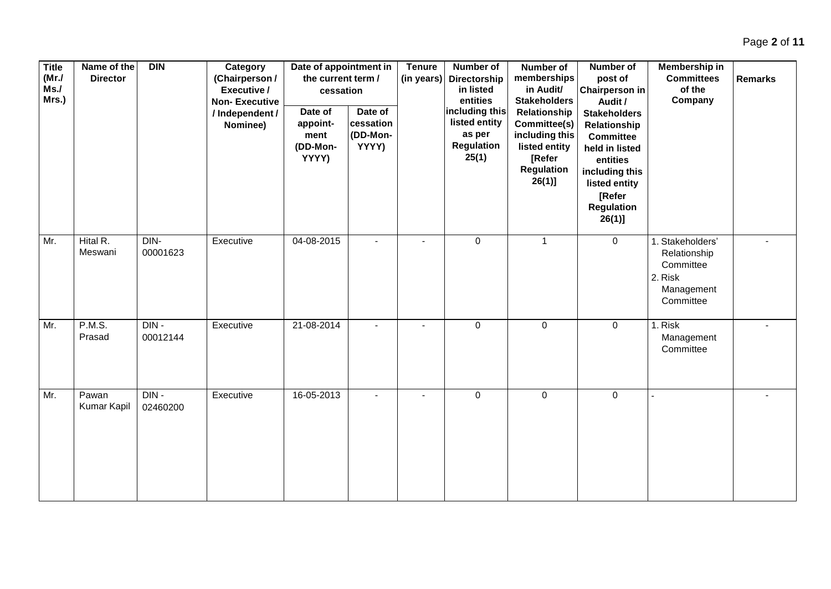| <b>Title</b><br>(MrJ)<br>Ms.<br>Mrs.) | Name of the<br><b>Director</b> | DIN              | Category<br>(Chairperson /<br>Executive /<br><b>Non-Executive</b><br>/ Independent /<br>Nominee) | Date of appointment in<br>the current term /<br>cessation<br>Date of<br>appoint-<br>ment<br>(DD-Mon-<br>YYYY) | Date of<br>cessation<br>(DD-Mon-<br>YYYY) | <b>Tenure</b><br>(in years) | Number of<br>Directorship<br>in listed<br>entities<br>including this<br>listed entity<br>as per<br><b>Regulation</b><br>25(1) | Number of<br>memberships<br>in Audit/<br><b>Stakeholders</b><br>Relationship<br>Committee(s)<br>including this<br>listed entity<br>[Refer<br><b>Regulation</b><br>$26(1)$ ] | Number of<br>post of<br><b>Chairperson in</b><br>Audit /<br><b>Stakeholders</b><br>Relationship<br><b>Committee</b><br>held in listed<br>entities<br>including this<br>listed entity<br>[Refer<br><b>Regulation</b> | Membership in<br><b>Committees</b><br>of the<br>Company                             | <b>Remarks</b> |
|---------------------------------------|--------------------------------|------------------|--------------------------------------------------------------------------------------------------|---------------------------------------------------------------------------------------------------------------|-------------------------------------------|-----------------------------|-------------------------------------------------------------------------------------------------------------------------------|-----------------------------------------------------------------------------------------------------------------------------------------------------------------------------|---------------------------------------------------------------------------------------------------------------------------------------------------------------------------------------------------------------------|-------------------------------------------------------------------------------------|----------------|
| Mr.                                   | Hital R.<br>Meswani            | DIN-<br>00001623 | Executive                                                                                        | 04-08-2015                                                                                                    |                                           |                             | $\mathbf 0$                                                                                                                   | $\mathbf{1}$                                                                                                                                                                | $26(1)$ ]<br>$\mathbf 0$                                                                                                                                                                                            | 1. Stakeholders'<br>Relationship<br>Committee<br>2. Risk<br>Management<br>Committee |                |
| Mr.                                   | P.M.S.<br>Prasad               | DIN-<br>00012144 | Executive                                                                                        | 21-08-2014                                                                                                    |                                           |                             | $\mathbf 0$                                                                                                                   | $\mathbf 0$                                                                                                                                                                 | $\mathbf 0$                                                                                                                                                                                                         | 1. Risk<br>Management<br>Committee                                                  |                |
| Mr.                                   | Pawan<br>Kumar Kapil           | DIN-<br>02460200 | Executive                                                                                        | 16-05-2013                                                                                                    |                                           |                             | $\,0\,$                                                                                                                       | $\pmb{0}$                                                                                                                                                                   | $\mathsf 0$                                                                                                                                                                                                         |                                                                                     |                |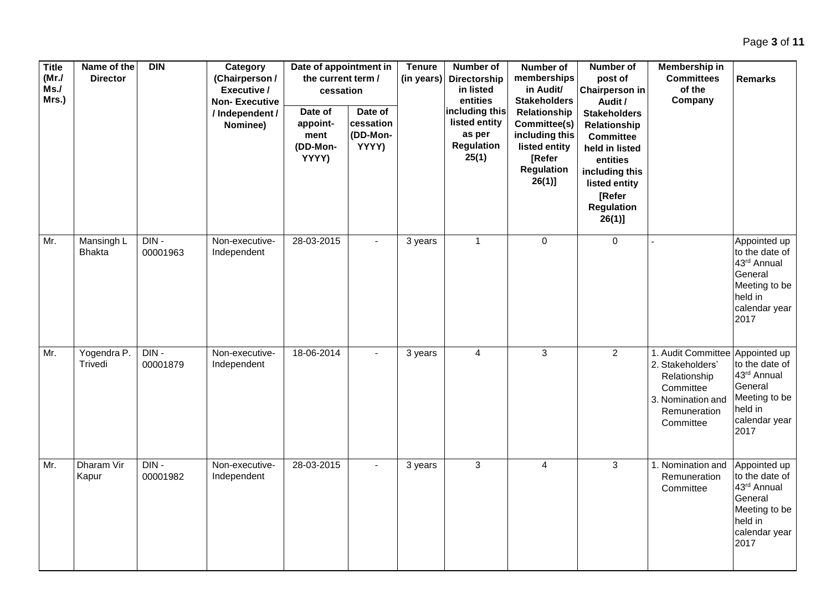| Title<br>(MrJ)<br>Ms.<br>Mrs.) | Name of the<br><b>Director</b> | <b>DIN</b>       | Category<br>(Chairperson/<br>Executive /<br><b>Non-Executive</b><br>/ Independent /<br>Nominee) | Date of appointment in<br>the current term /<br>cessation<br>Date of<br>appoint-<br>ment<br>(DD-Mon-<br>YYYY) | Date of<br>cessation<br>(DD-Mon-<br>YYYY) | <b>Tenure</b><br>(in years) | Number of<br>Directorship<br>in listed<br>entities<br>including this<br>listed entity<br>as per<br><b>Regulation</b><br>25(1) | Number of<br>memberships<br>in Audit/<br><b>Stakeholders</b><br>Relationship<br>Committee(s)<br>including this<br>listed entity<br>[Refer<br><b>Regulation</b><br>$26(1)$ ] | Number of<br>post of<br>Chairperson in<br>Audit /<br><b>Stakeholders</b><br>Relationship<br><b>Committee</b><br>held in listed<br>entities<br>including this<br>listed entity<br>[Refer<br><b>Regulation</b><br>$26(1)$ ] | Membership in<br><b>Committees</b><br>of the<br>Company                                                                            | <b>Remarks</b>                                                                                                |
|--------------------------------|--------------------------------|------------------|-------------------------------------------------------------------------------------------------|---------------------------------------------------------------------------------------------------------------|-------------------------------------------|-----------------------------|-------------------------------------------------------------------------------------------------------------------------------|-----------------------------------------------------------------------------------------------------------------------------------------------------------------------------|---------------------------------------------------------------------------------------------------------------------------------------------------------------------------------------------------------------------------|------------------------------------------------------------------------------------------------------------------------------------|---------------------------------------------------------------------------------------------------------------|
| Mr.                            | Mansingh L<br><b>Bhakta</b>    | DIN-<br>00001963 | Non-executive-<br>Independent                                                                   | 28-03-2015                                                                                                    |                                           | 3 years                     | $\mathbf{1}$                                                                                                                  | $\pmb{0}$                                                                                                                                                                   | $\overline{0}$                                                                                                                                                                                                            |                                                                                                                                    | Appointed up<br>to the date of<br>43rd Annual<br>General<br>Meeting to be<br>held in<br>calendar year<br>2017 |
| Mr.                            | Yogendra P.<br>Trivedi         | DIN-<br>00001879 | Non-executive-<br>Independent                                                                   | 18-06-2014                                                                                                    |                                           | 3 years                     | $\overline{4}$                                                                                                                | $\mathbf{3}$                                                                                                                                                                | $\overline{2}$                                                                                                                                                                                                            | 1. Audit Committee Appointed up<br>2. Stakeholders'<br>Relationship<br>Committee<br>3. Nomination and<br>Remuneration<br>Committee | to the date of<br>43rd Annual<br>General<br>Meeting to be<br>held in<br>calendar year<br>2017                 |
| Mr.                            | Dharam Vir<br>Kapur            | DIN-<br>00001982 | Non-executive-<br>Independent                                                                   | 28-03-2015                                                                                                    |                                           | 3 years                     | 3                                                                                                                             | $\overline{4}$                                                                                                                                                              | 3                                                                                                                                                                                                                         | 1. Nomination and<br>Remuneration<br>Committee                                                                                     | Appointed up<br>to the date of<br>43rd Annual<br>General<br>Meeting to be<br>held in<br>calendar year<br>2017 |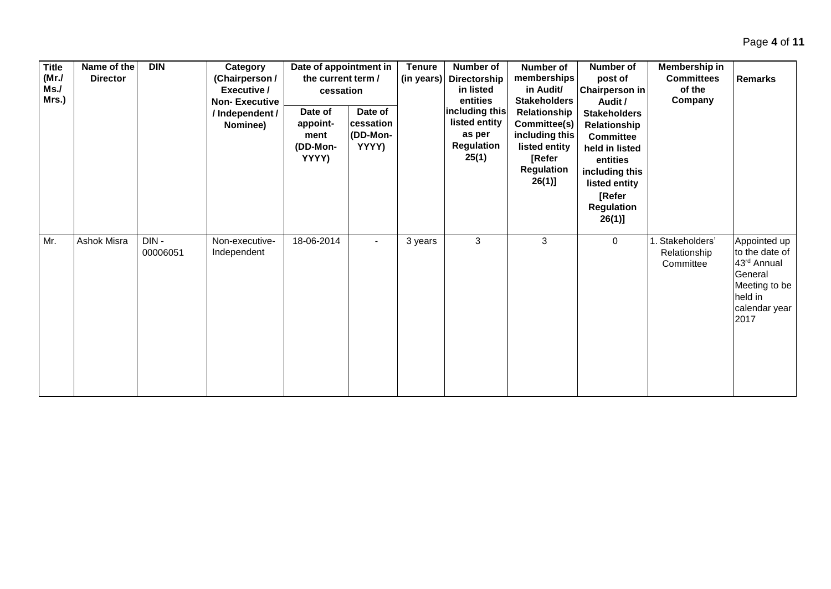| <b>Title</b><br>(MrJ)<br>Ms.<br>Mrs.) | Name of the<br><b>Director</b> | <b>DIN</b>       | Category<br>(Chairperson /<br>Executive /<br><b>Non-Executive</b> | Date of appointment in<br>the current term /<br>cessation |                                           | <b>Tenure</b><br>(in years) | Number of<br>Directorship<br>in listed<br>entities<br>including this | Number of<br>memberships<br>in Audit/<br><b>Stakeholders</b>                                                | <b>Number of</b><br>post of<br>Chairperson in<br>Audit /                                                                                                          | Membership in<br><b>Committees</b><br>of the<br>Company | <b>Remarks</b>                                                                                                |
|---------------------------------------|--------------------------------|------------------|-------------------------------------------------------------------|-----------------------------------------------------------|-------------------------------------------|-----------------------------|----------------------------------------------------------------------|-------------------------------------------------------------------------------------------------------------|-------------------------------------------------------------------------------------------------------------------------------------------------------------------|---------------------------------------------------------|---------------------------------------------------------------------------------------------------------------|
|                                       |                                |                  | / Independent /<br>Nominee)                                       | Date of<br>appoint-<br>ment<br>(DD-Mon-<br>YYYY)          | Date of<br>cessation<br>(DD-Mon-<br>YYYY) |                             | listed entity<br>as per<br>Regulation<br>25(1)                       | Relationship<br>Committee(s)<br>including this<br>listed entity<br>[Refer<br><b>Regulation</b><br>$26(1)$ ] | <b>Stakeholders</b><br>Relationship<br><b>Committee</b><br>held in listed<br>entities<br>including this<br>listed entity<br>[Refer<br><b>Regulation</b><br>26(1)] |                                                         |                                                                                                               |
| Mr.                                   | Ashok Misra                    | DIN-<br>00006051 | Non-executive-<br>Independent                                     | 18-06-2014                                                |                                           | 3 years                     | $\mathbf{3}$                                                         | 3                                                                                                           | $\mathbf 0$                                                                                                                                                       | 1. Stakeholders'<br>Relationship<br>Committee           | Appointed up<br>to the date of<br>43rd Annual<br>General<br>Meeting to be<br>held in<br>calendar year<br>2017 |

Page **4** of **11**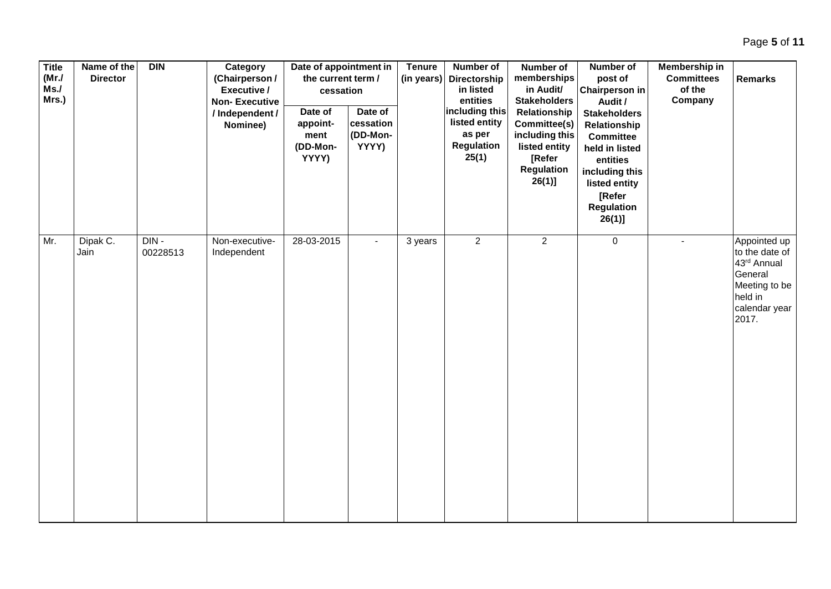| Page 5 of 11 |  |
|--------------|--|
|--------------|--|

| <b>Title</b><br>(MrJ)<br>Ms.<br>Mrs.) | Name of the<br><b>Director</b> | DIN                 | Category<br>(Chairperson /<br>Executive /<br><b>Non-Executive</b><br>/ Independent /<br>Nominee) | Date of appointment in<br>the current term /<br>cessation<br>Date of<br>appoint-<br>ment<br>(DD-Mon-<br>YYYY) | Date of<br>cessation<br>(DD-Mon-<br>YYYY) | <b>Tenure</b><br>(in years) | Number of<br>Directorship<br>in listed<br>entities<br>including this<br>listed entity<br>as per<br><b>Regulation</b><br>25(1) | Number of<br>memberships<br>in Audit/<br><b>Stakeholders</b><br>Relationship<br>Committee(s)<br>including this<br>listed entity<br>[Refer<br>Regulation<br>$26(1)$ ] | Number of<br>post of<br><b>Chairperson in</b><br>Audit /<br><b>Stakeholders</b><br>Relationship<br><b>Committee</b><br>held in listed<br>entities<br>including this<br>listed entity<br>[Refer<br>Regulation<br>$26(1)$ ] | Membership in<br><b>Committees</b><br>of the<br>Company | <b>Remarks</b>                                                                                                 |
|---------------------------------------|--------------------------------|---------------------|--------------------------------------------------------------------------------------------------|---------------------------------------------------------------------------------------------------------------|-------------------------------------------|-----------------------------|-------------------------------------------------------------------------------------------------------------------------------|----------------------------------------------------------------------------------------------------------------------------------------------------------------------|---------------------------------------------------------------------------------------------------------------------------------------------------------------------------------------------------------------------------|---------------------------------------------------------|----------------------------------------------------------------------------------------------------------------|
| Mr.                                   | Dipak C.<br>Jain               | $DIN -$<br>00228513 | Non-executive-<br>Independent                                                                    | 28-03-2015                                                                                                    |                                           | 3 years                     | $\overline{2}$                                                                                                                | $\overline{2}$                                                                                                                                                       | $\overline{0}$                                                                                                                                                                                                            | $\blacksquare$                                          | Appointed up<br>to the date of<br>43rd Annual<br>General<br>Meeting to be<br>held in<br>calendar year<br>2017. |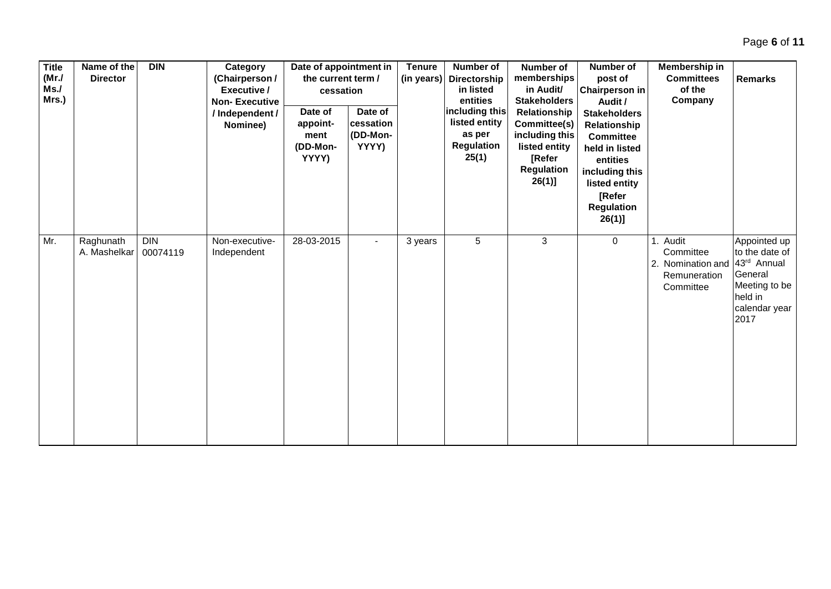| <b>Title</b><br>(MrJ)<br>Ms.<br>Mrs.) | Name of the<br><b>Director</b> | <b>DIN</b>             | Category<br>(Chairperson /<br>Executive /<br><b>Non-Executive</b><br>/ Independent /<br>Nominee) | Date of appointment in<br>the current term /<br>cessation<br>Date of<br>appoint-<br>ment<br>(DD-Mon-<br>YYYY) | Date of<br>cessation<br>(DD-Mon-<br>YYYY) | <b>Tenure</b><br>(in years) | <b>Number of</b><br><b>Directorship</b><br>in listed<br>entities<br>including this<br>listed entity<br>as per<br><b>Regulation</b><br>25(1) | Number of<br>memberships<br>in Audit/<br><b>Stakeholders</b><br>Relationship<br>Committee(s)<br>including this<br>listed entity<br>[Refer<br><b>Regulation</b><br>$26(1)$ ] | Number of<br>post of<br><b>Chairperson in</b><br>Audit /<br><b>Stakeholders</b><br>Relationship<br><b>Committee</b><br>held in listed<br>entities<br>including this<br>listed entity<br>[Refer<br><b>Regulation</b><br>$26(1)$ ] | Membership in<br><b>Committees</b><br>of the<br>Company                 | <b>Remarks</b>                                                                                                |
|---------------------------------------|--------------------------------|------------------------|--------------------------------------------------------------------------------------------------|---------------------------------------------------------------------------------------------------------------|-------------------------------------------|-----------------------------|---------------------------------------------------------------------------------------------------------------------------------------------|-----------------------------------------------------------------------------------------------------------------------------------------------------------------------------|----------------------------------------------------------------------------------------------------------------------------------------------------------------------------------------------------------------------------------|-------------------------------------------------------------------------|---------------------------------------------------------------------------------------------------------------|
| Mr.                                   | Raghunath<br>A. Mashelkar      | <b>DIN</b><br>00074119 | Non-executive-<br>Independent                                                                    | 28-03-2015                                                                                                    |                                           | 3 years                     | 5                                                                                                                                           | 3                                                                                                                                                                           | $\mathbf 0$                                                                                                                                                                                                                      | 1. Audit<br>Committee<br>2. Nomination and<br>Remuneration<br>Committee | Appointed up<br>to the date of<br>43rd Annual<br>General<br>Meeting to be<br>held in<br>calendar year<br>2017 |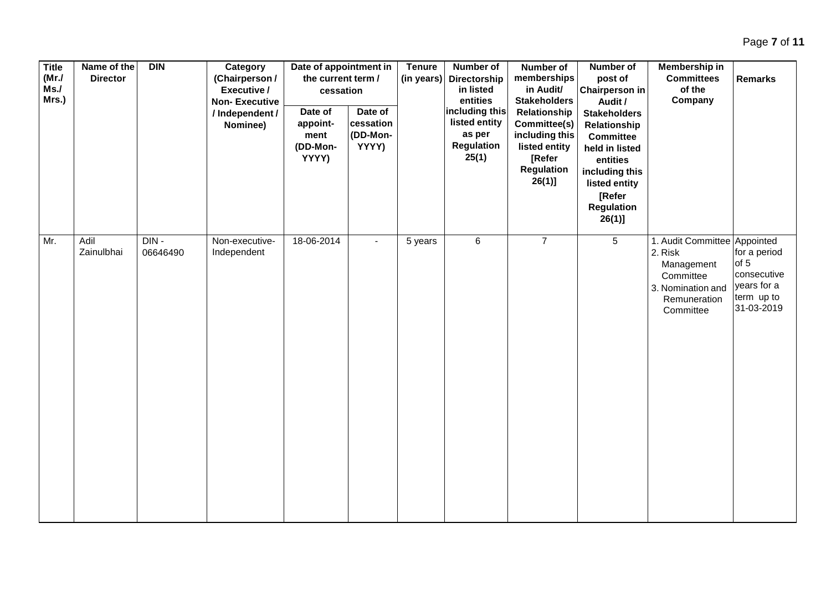| <b>Title</b><br>(MrJ)<br>Ms.<br>Mrs.) | Name of the<br><b>Director</b> | DIN              | Category<br>(Chairperson /<br>Executive /<br><b>Non-Executive</b><br>/ Independent /<br>Nominee) | Date of appointment in<br>the current term /<br>cessation<br>Date of<br>appoint-<br>ment<br>(DD-Mon-<br>YYYY) | Date of<br>cessation<br>(DD-Mon-<br>YYYY) | <b>Tenure</b><br>(in years) | Number of<br>Directorship<br>in listed<br>entities<br>including this<br>listed entity<br>as per<br>Regulation<br>25(1) | Number of<br>memberships<br>in Audit/<br><b>Stakeholders</b><br>Relationship<br>Committee(s)<br>including this<br>listed entity<br>[Refer<br><b>Regulation</b><br>$26(1)$ ] | Number of<br>post of<br><b>Chairperson in</b><br>Audit /<br><b>Stakeholders</b><br>Relationship<br><b>Committee</b><br>held in listed<br>entities<br>including this<br>listed entity<br>[Refer<br><b>Regulation</b><br>$26(1)$ ] | Membership in<br><b>Committees</b><br>of the<br>Company                                                              | <b>Remarks</b>                                                                 |
|---------------------------------------|--------------------------------|------------------|--------------------------------------------------------------------------------------------------|---------------------------------------------------------------------------------------------------------------|-------------------------------------------|-----------------------------|------------------------------------------------------------------------------------------------------------------------|-----------------------------------------------------------------------------------------------------------------------------------------------------------------------------|----------------------------------------------------------------------------------------------------------------------------------------------------------------------------------------------------------------------------------|----------------------------------------------------------------------------------------------------------------------|--------------------------------------------------------------------------------|
| Mr.                                   | Adil<br>Zainulbhai             | DIN-<br>06646490 | Non-executive-<br>Independent                                                                    | 18-06-2014                                                                                                    |                                           | 5 years                     | 6                                                                                                                      | $\overline{7}$                                                                                                                                                              | $5\phantom{.0}$                                                                                                                                                                                                                  | 1. Audit Committee Appointed<br>2. Risk<br>Management<br>Committee<br>3. Nomination and<br>Remuneration<br>Committee | for a period<br>of 5<br>consecutive<br>years for a<br>term up to<br>31-03-2019 |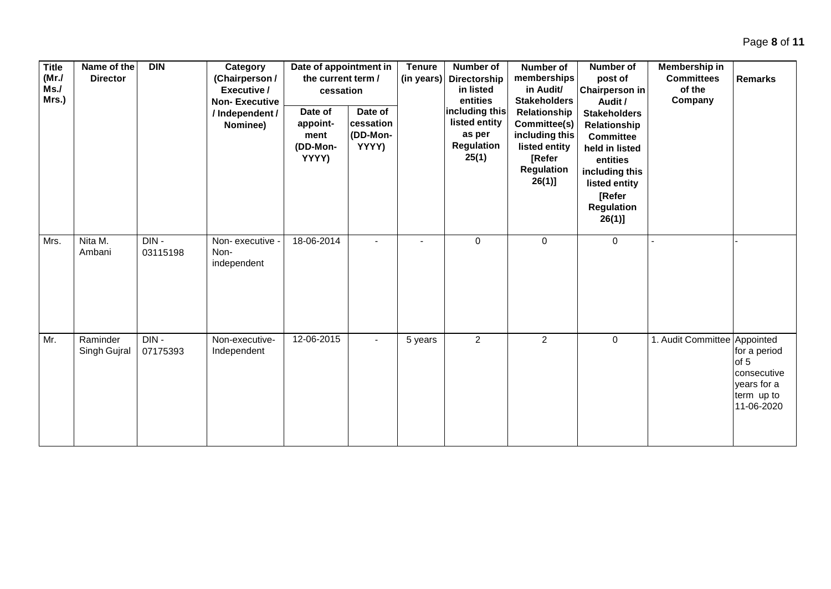| <b>Title</b><br>(MrJ)<br>Ms.<br>Mrs.) | Name of the<br><b>Director</b> | <b>DIN</b>       | Category<br>(Chairperson/<br>Executive /<br><b>Non-Executive</b><br>/ Independent /<br>Nominee) | Date of appointment in<br>the current term /<br>cessation<br>Date of<br>appoint-<br>ment<br>(DD-Mon-<br>YYYY) | Date of<br>cessation<br>(DD-Mon-<br>YYYY) | <b>Tenure</b><br>(in years) | Number of<br><b>Directorship</b><br>in listed<br>entities<br>including this<br>listed entity<br>as per<br>Regulation<br>25(1) | Number of<br>memberships<br>in Audit/<br><b>Stakeholders</b><br>Relationship<br>Committee(s)<br>including this<br>listed entity<br><b>[Refer</b><br><b>Regulation</b><br>$26(1)$ ] | <b>Number of</b><br>post of<br><b>Chairperson in</b><br>Audit /<br><b>Stakeholders</b><br>Relationship<br><b>Committee</b><br>held in listed<br>entities<br>including this<br>listed entity<br>[Refer<br><b>Regulation</b><br>$26(1)$ ] | Membership in<br><b>Committees</b><br>of the<br>Company | <b>Remarks</b>                                                                 |
|---------------------------------------|--------------------------------|------------------|-------------------------------------------------------------------------------------------------|---------------------------------------------------------------------------------------------------------------|-------------------------------------------|-----------------------------|-------------------------------------------------------------------------------------------------------------------------------|------------------------------------------------------------------------------------------------------------------------------------------------------------------------------------|-----------------------------------------------------------------------------------------------------------------------------------------------------------------------------------------------------------------------------------------|---------------------------------------------------------|--------------------------------------------------------------------------------|
| Mrs.                                  | Nita M.<br>Ambani              | DIN-<br>03115198 | Non-executive -<br>Non-<br>independent                                                          | 18-06-2014                                                                                                    |                                           |                             | $\mathbf 0$                                                                                                                   | 0                                                                                                                                                                                  | 0                                                                                                                                                                                                                                       |                                                         |                                                                                |
| Mr.                                   | Raminder<br>Singh Gujral       | DIN-<br>07175393 | Non-executive-<br>Independent                                                                   | 12-06-2015                                                                                                    |                                           | 5 years                     | $\overline{2}$                                                                                                                | $\overline{2}$                                                                                                                                                                     | $\pmb{0}$                                                                                                                                                                                                                               | 1. Audit Committee Appointed                            | for a period<br>of 5<br>consecutive<br>years for a<br>term up to<br>11-06-2020 |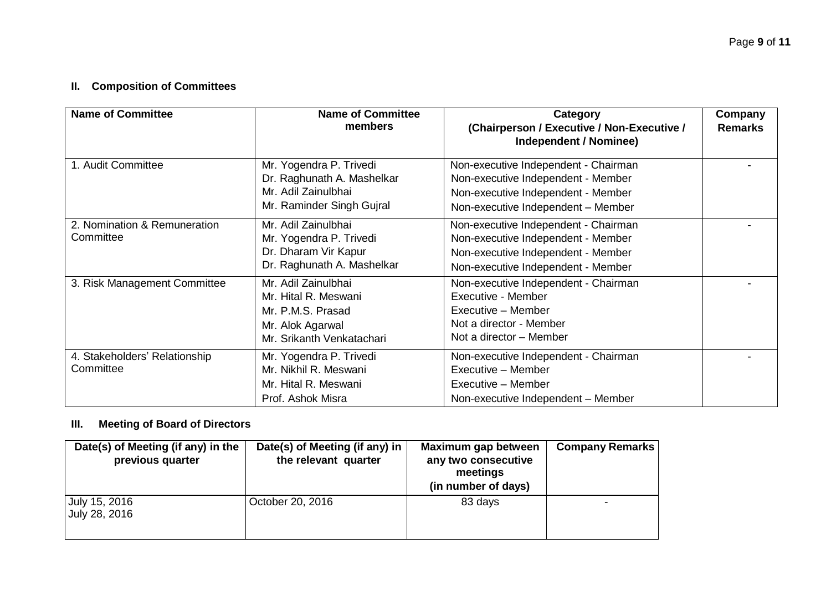# **II. Composition of Committees**

| <b>Name of Committee</b>                   | <b>Name of Committee</b><br>members                                                                               | Category<br>(Chairperson / Executive / Non-Executive /<br>Independent / Nominee)                                                                       | Company<br><b>Remarks</b> |
|--------------------------------------------|-------------------------------------------------------------------------------------------------------------------|--------------------------------------------------------------------------------------------------------------------------------------------------------|---------------------------|
| 1. Audit Committee                         | Mr. Yogendra P. Trivedi<br>Dr. Raghunath A. Mashelkar<br>Mr. Adil Zainulbhai<br>Mr. Raminder Singh Gujral         | Non-executive Independent - Chairman<br>Non-executive Independent - Member<br>Non-executive Independent - Member<br>Non-executive Independent - Member |                           |
| 2. Nomination & Remuneration<br>Committee  | Mr. Adil Zainulbhai<br>Mr. Yogendra P. Trivedi<br>Dr. Dharam Vir Kapur<br>Dr. Raghunath A. Mashelkar              | Non-executive Independent - Chairman<br>Non-executive Independent - Member<br>Non-executive Independent - Member<br>Non-executive Independent - Member |                           |
| 3. Risk Management Committee               | Mr. Adil Zainulbhai<br>Mr. Hital R. Meswani<br>Mr. P.M.S. Prasad<br>Mr. Alok Agarwal<br>Mr. Srikanth Venkatachari | Non-executive Independent - Chairman<br>Executive - Member<br>Executive - Member<br>Not a director - Member<br>Not a director - Member                 |                           |
| 4. Stakeholders' Relationship<br>Committee | Mr. Yogendra P. Trivedi<br>Mr. Nikhil R. Meswani<br>Mr. Hital R. Meswani<br>Prof. Ashok Misra                     | Non-executive Independent - Chairman<br>Executive - Member<br>Executive - Member<br>Non-executive Independent - Member                                 |                           |

## **III. Meeting of Board of Directors**

| Date(s) of Meeting (if any) in the<br>previous quarter | Date(s) of Meeting (if any) in $ $<br>the relevant quarter | Maximum gap between<br>any two consecutive<br>meetings<br>(in number of days) | <b>Company Remarks</b> |
|--------------------------------------------------------|------------------------------------------------------------|-------------------------------------------------------------------------------|------------------------|
| July 15, 2016<br>July 28, 2016                         | October 20, 2016                                           | 83 days                                                                       |                        |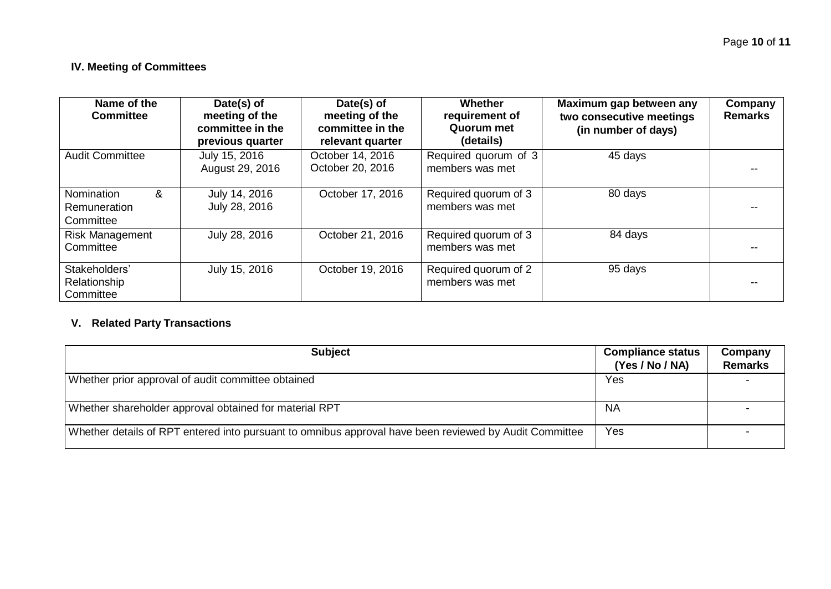## **IV. Meeting of Committees**

| Name of the<br><b>Committee</b>                            | Date(s) of<br>meeting of the<br>committee in the<br>previous quarter | Date(s) of<br>meeting of the<br>committee in the<br>relevant quarter | Whether<br>requirement of<br>Quorum met<br>(details) | Maximum gap between any<br>two consecutive meetings<br>(in number of days) | Company<br><b>Remarks</b> |
|------------------------------------------------------------|----------------------------------------------------------------------|----------------------------------------------------------------------|------------------------------------------------------|----------------------------------------------------------------------------|---------------------------|
| <b>Audit Committee</b>                                     | July 15, 2016<br>August 29, 2016                                     | October 14, 2016<br>October 20, 2016                                 | Required quorum of 3<br>members was met              | 45 days                                                                    |                           |
| <b>Nomination</b><br>&<br><b>Remuneration</b><br>Committee | July 14, 2016<br>July 28, 2016                                       | October 17, 2016                                                     | Required quorum of 3<br>members was met              | 80 days                                                                    |                           |
| <b>Risk Management</b><br>Committee                        | July 28, 2016                                                        | October 21, 2016                                                     | Required quorum of 3<br>members was met              | 84 days                                                                    |                           |
| Stakeholders'<br>Relationship<br>Committee                 | July 15, 2016                                                        | October 19, 2016                                                     | Required quorum of 2<br>members was met              | 95 days                                                                    |                           |

# **V. Related Party Transactions**

| <b>Subject</b>                                                                                         | <b>Compliance status</b><br>(Yes / No / NA) | Company<br><b>Remarks</b> |
|--------------------------------------------------------------------------------------------------------|---------------------------------------------|---------------------------|
| Whether prior approval of audit committee obtained                                                     | Yes                                         |                           |
| Whether shareholder approval obtained for material RPT                                                 | NA                                          |                           |
| Whether details of RPT entered into pursuant to omnibus approval have been reviewed by Audit Committee | Yes                                         |                           |